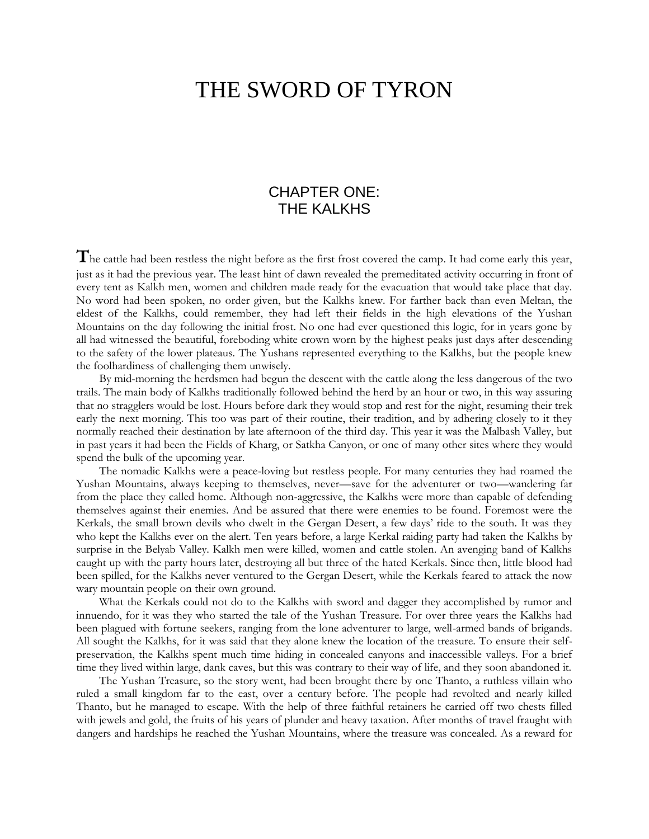## THE SWORD OF TYRON

## CHAPTER ONE: THE KALKHS

**T**he cattle had been restless the night before as the first frost covered the camp. It had come early this year, just as it had the previous year. The least hint of dawn revealed the premeditated activity occurring in front of every tent as Kalkh men, women and children made ready for the evacuation that would take place that day. No word had been spoken, no order given, but the Kalkhs knew. For farther back than even Meltan, the eldest of the Kalkhs, could remember, they had left their fields in the high elevations of the Yushan Mountains on the day following the initial frost. No one had ever questioned this logic, for in years gone by all had witnessed the beautiful, foreboding white crown worn by the highest peaks just days after descending to the safety of the lower plateaus. The Yushans represented everything to the Kalkhs, but the people knew the foolhardiness of challenging them unwisely.

By mid-morning the herdsmen had begun the descent with the cattle along the less dangerous of the two trails. The main body of Kalkhs traditionally followed behind the herd by an hour or two, in this way assuring that no stragglers would be lost. Hours before dark they would stop and rest for the night, resuming their trek early the next morning. This too was part of their routine, their tradition, and by adhering closely to it they normally reached their destination by late afternoon of the third day. This year it was the Malbash Valley, but in past years it had been the Fields of Kharg, or Satkha Canyon, or one of many other sites where they would spend the bulk of the upcoming year.

The nomadic Kalkhs were a peace-loving but restless people. For many centuries they had roamed the Yushan Mountains, always keeping to themselves, never—save for the adventurer or two—wandering far from the place they called home. Although non-aggressive, the Kalkhs were more than capable of defending themselves against their enemies. And be assured that there were enemies to be found. Foremost were the Kerkals, the small brown devils who dwelt in the Gergan Desert, a few days' ride to the south. It was they who kept the Kalkhs ever on the alert. Ten years before, a large Kerkal raiding party had taken the Kalkhs by surprise in the Belyab Valley. Kalkh men were killed, women and cattle stolen. An avenging band of Kalkhs caught up with the party hours later, destroying all but three of the hated Kerkals. Since then, little blood had been spilled, for the Kalkhs never ventured to the Gergan Desert, while the Kerkals feared to attack the now wary mountain people on their own ground.

What the Kerkals could not do to the Kalkhs with sword and dagger they accomplished by rumor and innuendo, for it was they who started the tale of the Yushan Treasure. For over three years the Kalkhs had been plagued with fortune seekers, ranging from the lone adventurer to large, well-armed bands of brigands. All sought the Kalkhs, for it was said that they alone knew the location of the treasure. To ensure their selfpreservation, the Kalkhs spent much time hiding in concealed canyons and inaccessible valleys. For a brief time they lived within large, dank caves, but this was contrary to their way of life, and they soon abandoned it.

The Yushan Treasure, so the story went, had been brought there by one Thanto, a ruthless villain who ruled a small kingdom far to the east, over a century before. The people had revolted and nearly killed Thanto, but he managed to escape. With the help of three faithful retainers he carried off two chests filled with jewels and gold, the fruits of his years of plunder and heavy taxation. After months of travel fraught with dangers and hardships he reached the Yushan Mountains, where the treasure was concealed. As a reward for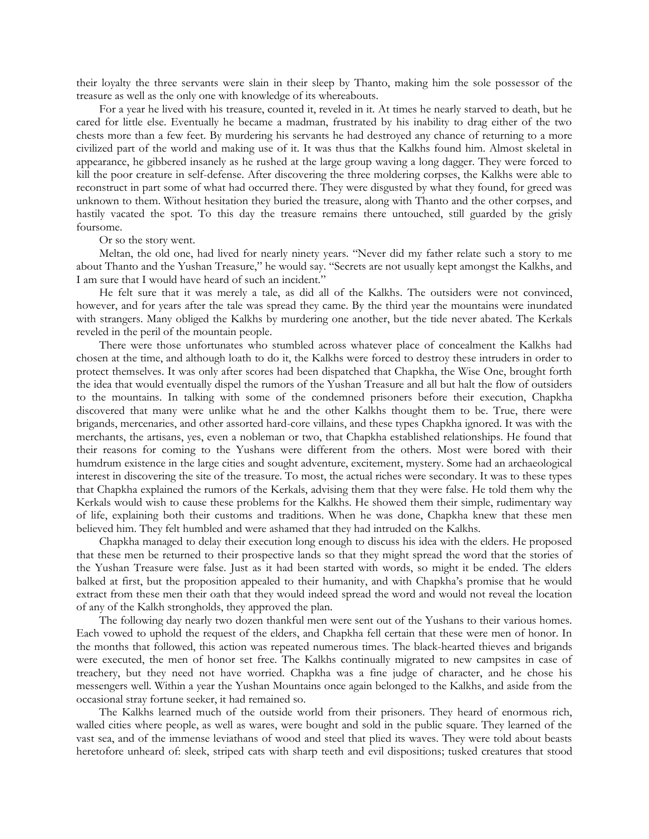their loyalty the three servants were slain in their sleep by Thanto, making him the sole possessor of the treasure as well as the only one with knowledge of its whereabouts.

For a year he lived with his treasure, counted it, reveled in it. At times he nearly starved to death, but he cared for little else. Eventually he became a madman, frustrated by his inability to drag either of the two chests more than a few feet. By murdering his servants he had destroyed any chance of returning to a more civilized part of the world and making use of it. It was thus that the Kalkhs found him. Almost skeletal in appearance, he gibbered insanely as he rushed at the large group waving a long dagger. They were forced to kill the poor creature in self-defense. After discovering the three moldering corpses, the Kalkhs were able to reconstruct in part some of what had occurred there. They were disgusted by what they found, for greed was unknown to them. Without hesitation they buried the treasure, along with Thanto and the other corpses, and hastily vacated the spot. To this day the treasure remains there untouched, still guarded by the grisly foursome.

## Or so the story went.

Meltan, the old one, had lived for nearly ninety years. "Never did my father relate such a story to me about Thanto and the Yushan Treasure," he would say. "Secrets are not usually kept amongst the Kalkhs, and I am sure that I would have heard of such an incident."

He felt sure that it was merely a tale, as did all of the Kalkhs. The outsiders were not convinced, however, and for years after the tale was spread they came. By the third year the mountains were inundated with strangers. Many obliged the Kalkhs by murdering one another, but the tide never abated. The Kerkals reveled in the peril of the mountain people.

There were those unfortunates who stumbled across whatever place of concealment the Kalkhs had chosen at the time, and although loath to do it, the Kalkhs were forced to destroy these intruders in order to protect themselves. It was only after scores had been dispatched that Chapkha, the Wise One, brought forth the idea that would eventually dispel the rumors of the Yushan Treasure and all but halt the flow of outsiders to the mountains. In talking with some of the condemned prisoners before their execution, Chapkha discovered that many were unlike what he and the other Kalkhs thought them to be. True, there were brigands, mercenaries, and other assorted hard-core villains, and these types Chapkha ignored. It was with the merchants, the artisans, yes, even a nobleman or two, that Chapkha established relationships. He found that their reasons for coming to the Yushans were different from the others. Most were bored with their humdrum existence in the large cities and sought adventure, excitement, mystery. Some had an archaeological interest in discovering the site of the treasure. To most, the actual riches were secondary. It was to these types that Chapkha explained the rumors of the Kerkals, advising them that they were false. He told them why the Kerkals would wish to cause these problems for the Kalkhs. He showed them their simple, rudimentary way of life, explaining both their customs and traditions. When he was done, Chapkha knew that these men believed him. They felt humbled and were ashamed that they had intruded on the Kalkhs.

Chapkha managed to delay their execution long enough to discuss his idea with the elders. He proposed that these men be returned to their prospective lands so that they might spread the word that the stories of the Yushan Treasure were false. Just as it had been started with words, so might it be ended. The elders balked at first, but the proposition appealed to their humanity, and with Chapkha's promise that he would extract from these men their oath that they would indeed spread the word and would not reveal the location of any of the Kalkh strongholds, they approved the plan.

The following day nearly two dozen thankful men were sent out of the Yushans to their various homes. Each vowed to uphold the request of the elders, and Chapkha fell certain that these were men of honor. In the months that followed, this action was repeated numerous times. The black-hearted thieves and brigands were executed, the men of honor set free. The Kalkhs continually migrated to new campsites in case of treachery, but they need not have worried. Chapkha was a fine judge of character, and he chose his messengers well. Within a year the Yushan Mountains once again belonged to the Kalkhs, and aside from the occasional stray fortune seeker, it had remained so.

The Kalkhs learned much of the outside world from their prisoners. They heard of enormous rich, walled cities where people, as well as wares, were bought and sold in the public square. They learned of the vast sea, and of the immense leviathans of wood and steel that plied its waves. They were told about beasts heretofore unheard of: sleek, striped cats with sharp teeth and evil dispositions; tusked creatures that stood